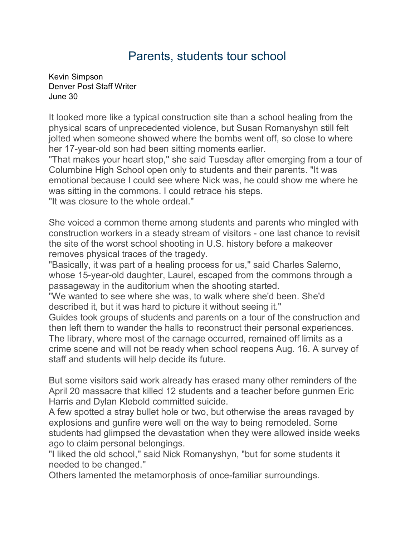## Parents, students tour school

[Kevin Simpson](mailto:newsroom@denverpost.com) Denver Post Staff Writer June 30

It looked more like a typical construction site than a school healing from the physical scars of unprecedented violence, but Susan Romanyshyn still felt jolted when someone showed where the bombs went off, so close to where her 17-year-old son had been sitting moments earlier.

"That makes your heart stop," she said Tuesday after emerging from a tour of Columbine High School open only to students and their parents. "It was emotional because I could see where Nick was, he could show me where he was sitting in the commons. I could retrace his steps. "It was closure to the whole ordeal.''

She voiced a common theme among students and parents who mingled with construction workers in a steady stream of visitors - one last chance to revisit the site of the worst school shooting in U.S. history before a makeover removes physical traces of the tragedy.

"Basically, it was part of a healing process for us,'' said Charles Salerno, whose 15-year-old daughter, Laurel, escaped from the commons through a passageway in the auditorium when the shooting started.

"We wanted to see where she was, to walk where she'd been. She'd described it, but it was hard to picture it without seeing it.''

Guides took groups of students and parents on a tour of the construction and then left them to wander the halls to reconstruct their personal experiences. The library, where most of the carnage occurred, remained off limits as a crime scene and will not be ready when school reopens Aug. 16. A survey of staff and students will help decide its future.

But some visitors said work already has erased many other reminders of the April 20 massacre that killed 12 students and a teacher before gunmen Eric Harris and Dylan Klebold committed suicide.

A few spotted a stray bullet hole or two, but otherwise the areas ravaged by explosions and gunfire were well on the way to being remodeled. Some students had glimpsed the devastation when they were allowed inside weeks ago to claim personal belongings.

"I liked the old school,'' said Nick Romanyshyn, "but for some students it needed to be changed.''

Others lamented the metamorphosis of once-familiar surroundings.